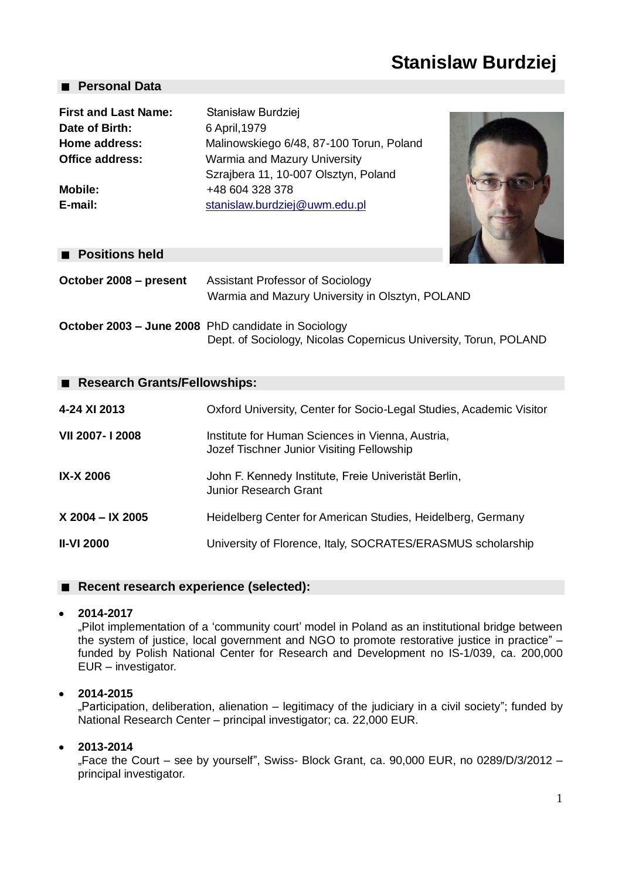# **Stanislaw Burdziej**

# **Personal Data**

| <b>First and Last Name:</b> | Stanisław Burdziej                       |
|-----------------------------|------------------------------------------|
| Date of Birth:              | 6 April, 1979                            |
| Home address:               | Malinowskiego 6/48, 87-100 Torun, Poland |
| Office address:             | Warmia and Mazury University             |
|                             | Szrajbera 11, 10-007 Olsztyn, Poland     |
| <b>Mobile:</b>              | +48 604 328 378                          |
| E-mail:                     | stanislaw.burdziej@uwm.edu.pl            |
|                             |                                          |



# **Positions held**

| October 2008 – present | <b>Assistant Professor of Sociology</b><br>Warmia and Mazury University in Olsztyn, POLAND                              |
|------------------------|-------------------------------------------------------------------------------------------------------------------------|
|                        | October 2003 - June 2008 PhD candidate in Sociology<br>Dept. of Sociology, Nicolas Copernicus University, Torun, POLAND |

# ■ Research Grants/Fellowships:

| 4-24 XI 2013      | Oxford University, Center for Socio-Legal Studies, Academic Visitor                           |
|-------------------|-----------------------------------------------------------------------------------------------|
| VII 2007-12008    | Institute for Human Sciences in Vienna, Austria,<br>Jozef Tischner Junior Visiting Fellowship |
| <b>IX-X 2006</b>  | John F. Kennedy Institute, Freie Univeristät Berlin,<br>Junior Research Grant                 |
| X 2004 - IX 2005  | Heidelberg Center for American Studies, Heidelberg, Germany                                   |
| <b>II-VI 2000</b> | University of Florence, Italy, SOCRATES/ERASMUS scholarship                                   |

# ■ Recent research experience (selected):

# **2014-2017**

"Pilot implementation of a 'community court' model in Poland as an institutional bridge between the system of justice, local government and NGO to promote restorative justice in practice" – funded by Polish National Center for Research and Development no IS-1/039, ca. 200,000 EUR – investigator.

# **2014-2015**

"Participation, deliberation, alienation – legitimacy of the judiciary in a civil society"; funded by National Research Center – principal investigator; ca. 22,000 EUR.

# **2013-2014**

"Face the Court – see by yourself", Swiss- Block Grant, ca. 90,000 EUR, no 0289/D/3/2012 – principal investigator.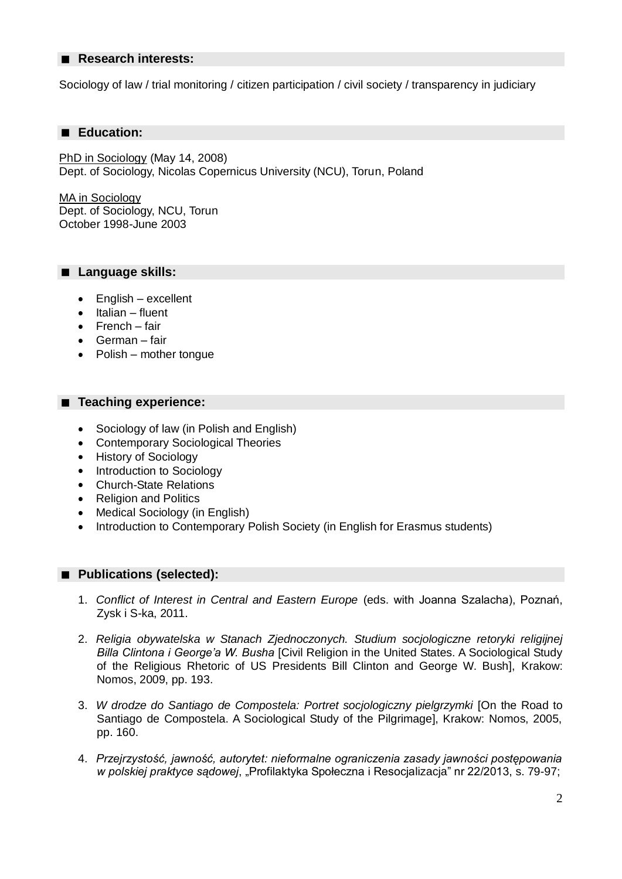#### ■ Research interests:

Sociology of law / trial monitoring / citizen participation / civil society / transparency in judiciary

#### **Education:**

PhD in Sociology (May 14, 2008) Dept. of Sociology, Nicolas Copernicus University (NCU), Torun, Poland

MA in Sociology Dept. of Sociology, NCU, Torun October 1998-June 2003

#### **Language skills:**

- English excellent
- Italian fluent  $\bullet$
- French fair
- German fair
- Polish mother tongue

#### ■ Teaching experience:

- Sociology of law (in Polish and English)  $\bullet$
- $\bullet$ Contemporary Sociological Theories
- History of Sociology  $\bullet$
- Introduction to Sociology
- $\bullet$ Church-State Relations
- Religion and Politics  $\bullet$
- Medical Sociology (in English)
- Introduction to Contemporary Polish Society (in English for Erasmus students)  $\bullet$

# **Publications (selected):**

- 1. *Conflict of Interest in Central and Eastern Europe* (eds. with Joanna Szalacha), Poznań, Zysk i S-ka, 2011.
- 2. *Religia obywatelska w Stanach Zjednoczonych. Studium socjologiczne retoryki religijnej Billa Clintona i George'a W. Busha* [Civil Religion in the United States. A Sociological Study of the Religious Rhetoric of US Presidents Bill Clinton and George W. Bush], Krakow: Nomos, 2009, pp. 193.
- 3. *W drodze do Santiago de Compostela: Portret socjologiczny pielgrzymki* [On the Road to Santiago de Compostela. A Sociological Study of the Pilgrimage], Krakow: Nomos, 2005, pp. 160.
- 4. *Przejrzystość, jawność, autorytet: nieformalne ograniczenia zasady jawności postępowania w polskiej praktyce sądowej*, "Profilaktyka Społeczna i Resocjalizacja" nr 22/2013, s. 79-97;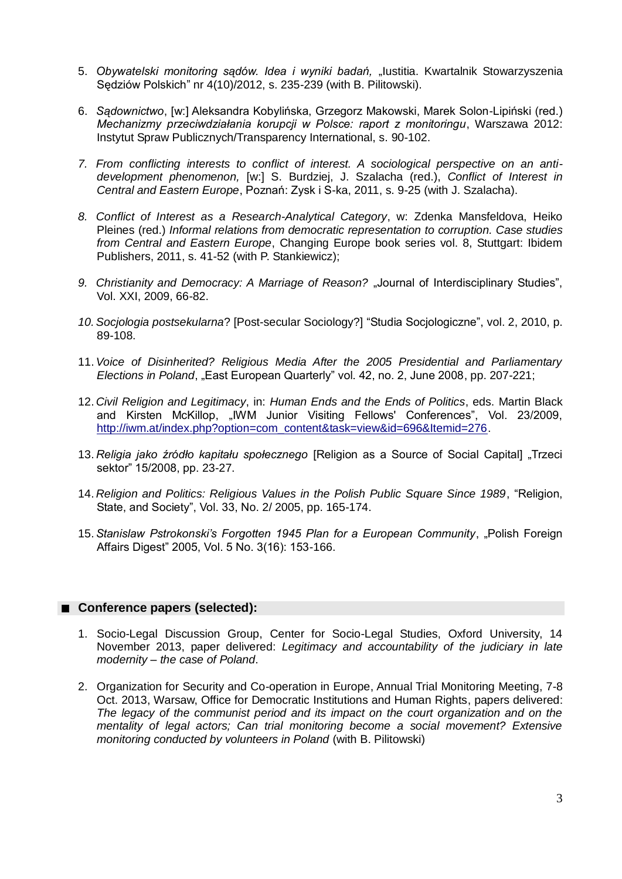- 5. Obywatelski monitoring sądów. Idea i wyniki badań, "lustitia. Kwartalnik Stowarzyszenia Sędziów Polskich" nr 4(10)/2012, s. 235-239 (with B. Pilitowski).
- 6. *Sądownictwo*, [w:] Aleksandra Kobylińska, Grzegorz Makowski, Marek Solon-Lipiński (red.) *Mechanizmy przeciwdziałania korupcji w Polsce: raport z monitoringu*, Warszawa 2012: Instytut Spraw Publicznych/Transparency International, s. 90-102.
- *7. From conflicting interests to conflict of interest. A sociological perspective on an antidevelopment phenomenon,* [w:] S. Burdziej, J. Szalacha (red.), *Conflict of Interest in Central and Eastern Europe*, Poznań: Zysk i S-ka, 2011, s. 9-25 (with J. Szalacha).
- *8. Conflict of Interest as a Research-Analytical Category*, w: Zdenka Mansfeldova, Heiko Pleines (red.) *Informal relations from democratic representation to corruption. Case studies from Central and Eastern Europe*, Changing Europe book series vol. 8, Stuttgart: Ibidem Publishers, 2011, s. 41-52 (with P. Stankiewicz);
- 9. Christianity and Democracy: A Marriage of Reason? "Journal of Interdisciplinary Studies", Vol. XXI, 2009, 66-82.
- *10.Socjologia postsekularna*? [Post-secular Sociology?] "Studia Socjologiczne", vol. 2, 2010, p. 89-108.
- 11.*Voice of Disinherited? Religious Media After the 2005 Presidential and Parliamentary Elections in Poland*, "East European Quarterly" vol. 42, no. 2, June 2008, pp. 207-221;
- 12. *Civil Religion and Legitimacy*, in: *Human Ends and the Ends of Politics*, eds. Martin Black and Kirsten McKillop, "IWM Junior Visiting Fellows' Conferences", Vol. 23/2009, [http://iwm.at/index.php?option=com\\_content&task=view&id=696&Itemid=276.](http://iwm.at/index.php?option=com_content&task=view&id=696&Itemid=276)
- 13. Religia jako źródło kapitału społecznego [Religion as a Source of Social Capital] "Trzeci sektor" 15/2008, pp. 23-27.
- 14. *Religion and Politics: Religious Values in the Polish Public Square Since 1989*, "Religion, State, and Society", Vol. 33, No. 2/ 2005, pp. 165-174.
- 15.*Stanislaw Pstrokonski's Forgotten 1945 Plan for a European Community*, "Polish Foreign Affairs Digest" 2005, Vol. 5 No. 3(16): 153-166.

# **Conference papers (selected):**

- 1. Socio-Legal Discussion Group, Center for Socio-Legal Studies, Oxford University, 14 November 2013, paper delivered: *Legitimacy and accountability of the judiciary in late modernity – the case of Poland*.
- 2. Organization for Security and Co-operation in Europe, Annual Trial Monitoring Meeting, 7-8 Oct. 2013, Warsaw, Office for Democratic Institutions and Human Rights, papers delivered: *The legacy of the communist period and its impact on the court organization and on the mentality of legal actors; Can trial monitoring become a social movement? Extensive monitoring conducted by volunteers in Poland* (with B. Pilitowski)